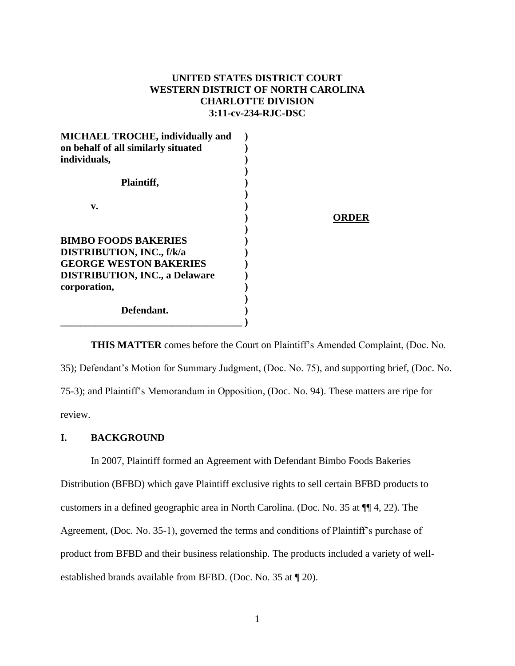# **UNITED STATES DISTRICT COURT WESTERN DISTRICT OF NORTH CAROLINA CHARLOTTE DIVISION 3:11-cv-234-RJC-DSC**

| <b>MICHAEL TROCHE, individually and</b> |       |
|-----------------------------------------|-------|
| on behalf of all similarly situated     |       |
| individuals,                            |       |
| Plaintiff,                              |       |
| v.                                      |       |
|                                         | ORDER |
| <b>BIMBO FOODS BAKERIES</b>             |       |
| <b>DISTRIBUTION, INC., f/k/a</b>        |       |
| <b>GEORGE WESTON BAKERIES</b>           |       |
| <b>DISTRIBUTION, INC., a Delaware</b>   |       |
| corporation,                            |       |
| Defendant.                              |       |

**THIS MATTER** comes before the Court on Plaintiff's Amended Complaint, (Doc. No. 35); Defendant's Motion for Summary Judgment, (Doc. No. 75), and supporting brief, (Doc. No. 75-3); and Plaintiff's Memorandum in Opposition, (Doc. No. 94). These matters are ripe for review.

## **I. BACKGROUND**

In 2007, Plaintiff formed an Agreement with Defendant Bimbo Foods Bakeries Distribution (BFBD) which gave Plaintiff exclusive rights to sell certain BFBD products to customers in a defined geographic area in North Carolina. (Doc. No. 35 at ¶¶ 4, 22). The Agreement, (Doc. No. 35-1), governed the terms and conditions of Plaintiff's purchase of product from BFBD and their business relationship. The products included a variety of wellestablished brands available from BFBD. (Doc. No. 35 at ¶ 20).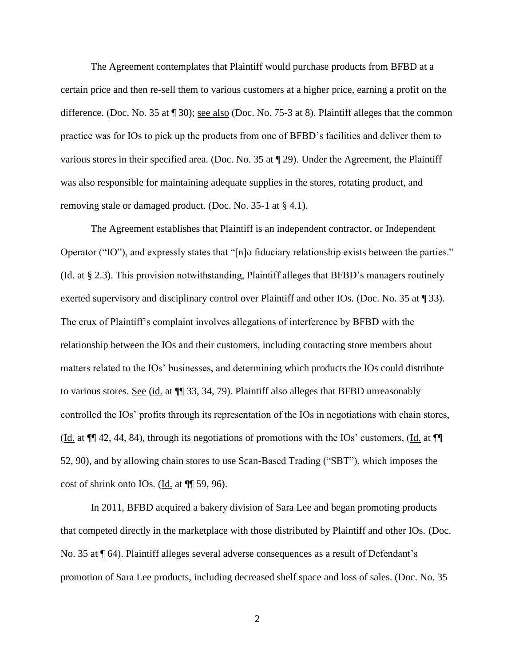The Agreement contemplates that Plaintiff would purchase products from BFBD at a certain price and then re-sell them to various customers at a higher price, earning a profit on the difference. (Doc. No. 35 at ¶ 30); see also (Doc. No. 75-3 at 8). Plaintiff alleges that the common practice was for IOs to pick up the products from one of BFBD's facilities and deliver them to various stores in their specified area. (Doc. No. 35 at ¶ 29). Under the Agreement, the Plaintiff was also responsible for maintaining adequate supplies in the stores, rotating product, and removing stale or damaged product. (Doc. No. 35-1 at § 4.1).

The Agreement establishes that Plaintiff is an independent contractor, or Independent Operator ("IO"), and expressly states that "[n]o fiduciary relationship exists between the parties." (Id. at § 2.3). This provision notwithstanding, Plaintiff alleges that BFBD's managers routinely exerted supervisory and disciplinary control over Plaintiff and other IOs. (Doc. No. 35 at \ine 33). The crux of Plaintiff's complaint involves allegations of interference by BFBD with the relationship between the IOs and their customers, including contacting store members about matters related to the IOs' businesses, and determining which products the IOs could distribute to various stores. See (id. at ¶¶ 33, 34, 79). Plaintiff also alleges that BFBD unreasonably controlled the IOs' profits through its representation of the IOs in negotiations with chain stores, (Id. at ¶¶ 42, 44, 84), through its negotiations of promotions with the IOs' customers, (Id. at ¶¶ 52, 90), and by allowing chain stores to use Scan-Based Trading ("SBT"), which imposes the cost of shrink onto IOs. (Id. at  $\P$  59, 96).

In 2011, BFBD acquired a bakery division of Sara Lee and began promoting products that competed directly in the marketplace with those distributed by Plaintiff and other IOs. (Doc. No. 35 at  $\P$  64). Plaintiff alleges several adverse consequences as a result of Defendant's promotion of Sara Lee products, including decreased shelf space and loss of sales. (Doc. No. 35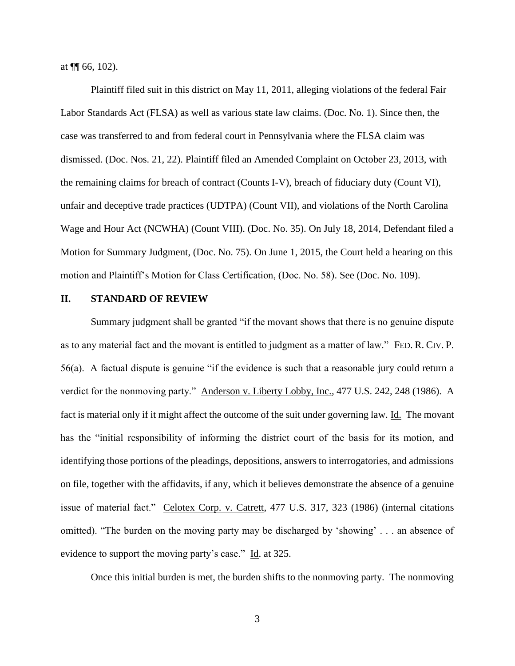at  $\P$  66, 102).

Plaintiff filed suit in this district on May 11, 2011, alleging violations of the federal Fair Labor Standards Act (FLSA) as well as various state law claims. (Doc. No. 1). Since then, the case was transferred to and from federal court in Pennsylvania where the FLSA claim was dismissed. (Doc. Nos. 21, 22). Plaintiff filed an Amended Complaint on October 23, 2013, with the remaining claims for breach of contract (Counts I-V), breach of fiduciary duty (Count VI), unfair and deceptive trade practices (UDTPA) (Count VII), and violations of the North Carolina Wage and Hour Act (NCWHA) (Count VIII). (Doc. No. 35). On July 18, 2014, Defendant filed a Motion for Summary Judgment, (Doc. No. 75). On June 1, 2015, the Court held a hearing on this motion and Plaintiff's Motion for Class Certification, (Doc. No. 58). See (Doc. No. 109).

## **II. STANDARD OF REVIEW**

Summary judgment shall be granted "if the movant shows that there is no genuine dispute as to any material fact and the movant is entitled to judgment as a matter of law." FED. R. CIV. P. 56(a). A factual dispute is genuine "if the evidence is such that a reasonable jury could return a verdict for the nonmoving party." Anderson v. Liberty Lobby, Inc., 477 U.S. 242, 248 (1986). A fact is material only if it might affect the outcome of the suit under governing law. Id. The movant has the "initial responsibility of informing the district court of the basis for its motion, and identifying those portions of the pleadings, depositions, answers to interrogatories, and admissions on file, together with the affidavits, if any, which it believes demonstrate the absence of a genuine issue of material fact." Celotex Corp. v. Catrett, 477 U.S. 317, 323 (1986) (internal citations omitted). "The burden on the moving party may be discharged by 'showing' . . . an absence of evidence to support the moving party's case." Id. at 325.

Once this initial burden is met, the burden shifts to the nonmoving party. The nonmoving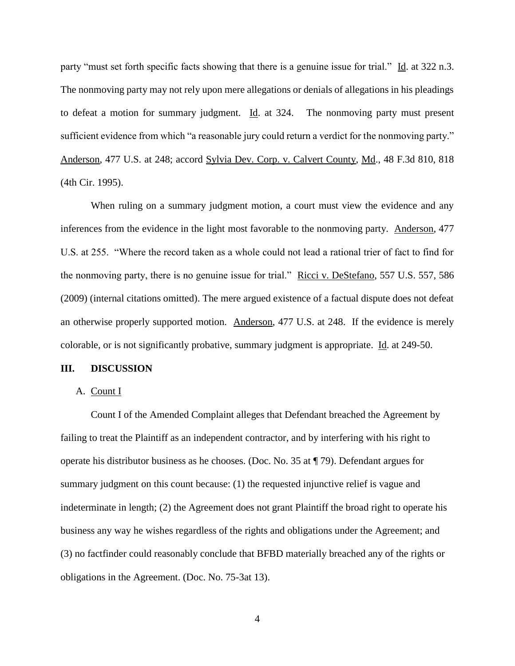party "must set forth specific facts showing that there is a genuine issue for trial." Id. at 322 n.3. The nonmoving party may not rely upon mere allegations or denials of allegations in his pleadings to defeat a motion for summary judgment. Id. at 324. The nonmoving party must present sufficient evidence from which "a reasonable jury could return a verdict for the nonmoving party." Anderson, 477 U.S. at 248; accord Sylvia Dev. Corp. v. Calvert County, Md., 48 F.3d 810, 818 (4th Cir. 1995).

When ruling on a summary judgment motion, a court must view the evidence and any inferences from the evidence in the light most favorable to the nonmoving party. Anderson, 477 U.S. at 255. "Where the record taken as a whole could not lead a rational trier of fact to find for the nonmoving party, there is no genuine issue for trial." Ricci v. DeStefano, 557 U.S. 557, 586 (2009) (internal citations omitted). The mere argued existence of a factual dispute does not defeat an otherwise properly supported motion. Anderson, 477 U.S. at 248. If the evidence is merely colorable, or is not significantly probative, summary judgment is appropriate. Id. at 249-50.

#### **III. DISCUSSION**

### A. Count I

Count I of the Amended Complaint alleges that Defendant breached the Agreement by failing to treat the Plaintiff as an independent contractor, and by interfering with his right to operate his distributor business as he chooses. (Doc. No. 35 at ¶ 79). Defendant argues for summary judgment on this count because: (1) the requested injunctive relief is vague and indeterminate in length; (2) the Agreement does not grant Plaintiff the broad right to operate his business any way he wishes regardless of the rights and obligations under the Agreement; and (3) no factfinder could reasonably conclude that BFBD materially breached any of the rights or obligations in the Agreement. (Doc. No. 75-3at 13).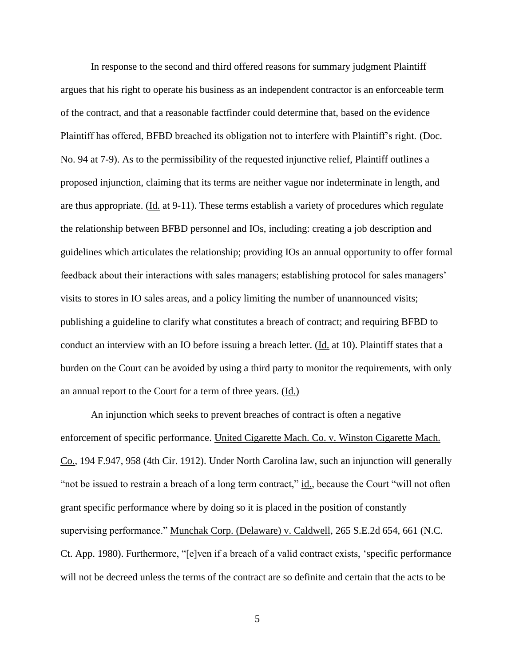In response to the second and third offered reasons for summary judgment Plaintiff argues that his right to operate his business as an independent contractor is an enforceable term of the contract, and that a reasonable factfinder could determine that, based on the evidence Plaintiff has offered, BFBD breached its obligation not to interfere with Plaintiff's right. (Doc. No. 94 at 7-9). As to the permissibility of the requested injunctive relief, Plaintiff outlines a proposed injunction, claiming that its terms are neither vague nor indeterminate in length, and are thus appropriate. (Id. at 9-11). These terms establish a variety of procedures which regulate the relationship between BFBD personnel and IOs, including: creating a job description and guidelines which articulates the relationship; providing IOs an annual opportunity to offer formal feedback about their interactions with sales managers; establishing protocol for sales managers' visits to stores in IO sales areas, and a policy limiting the number of unannounced visits; publishing a guideline to clarify what constitutes a breach of contract; and requiring BFBD to conduct an interview with an IO before issuing a breach letter. (Id. at 10). Plaintiff states that a burden on the Court can be avoided by using a third party to monitor the requirements, with only an annual report to the Court for a term of three years. (Id.)

An injunction which seeks to prevent breaches of contract is often a negative enforcement of specific performance. United Cigarette Mach. Co. v. Winston Cigarette Mach. Co., 194 F.947, 958 (4th Cir. 1912). Under North Carolina law, such an injunction will generally "not be issued to restrain a breach of a long term contract,"  $\underline{\text{id}}$ , because the Court "will not often grant specific performance where by doing so it is placed in the position of constantly supervising performance." Munchak Corp. (Delaware) v. Caldwell, 265 S.E.2d 654, 661 (N.C. Ct. App. 1980). Furthermore, "[e]ven if a breach of a valid contract exists, 'specific performance will not be decreed unless the terms of the contract are so definite and certain that the acts to be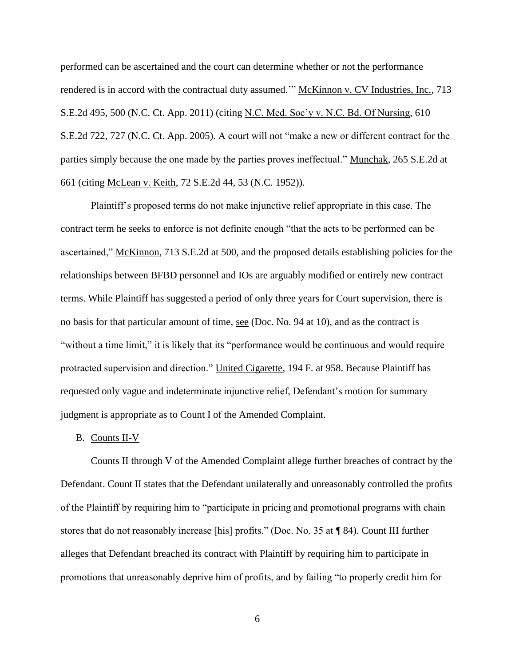performed can be ascertained and the court can determine whether or not the performance rendered is in accord with the contractual duty assumed." McKinnon v. CV Industries, Inc., 713 S.E.2d 495, 500 (N.C. Ct. App. 2011) (citing N.C. Med. Soc'y v. N.C. Bd. Of Nursing, 610 S.E.2d 722, 727 (N.C. Ct. App. 2005). A court will not "make a new or different contract for the parties simply because the one made by the parties proves ineffectual." Munchak, 265 S.E.2d at 661 (citing McLean v. Keith, 72 S.E.2d 44, 53 (N.C. 1952)).

Plaintiff's proposed terms do not make injunctive relief appropriate in this case. The contract term he seeks to enforce is not definite enough "that the acts to be performed can be ascertained," McKinnon, 713 S.E.2d at 500, and the proposed details establishing policies for the relationships between BFBD personnel and IOs are arguably modified or entirely new contract terms. While Plaintiff has suggested a period of only three years for Court supervision, there is no basis for that particular amount of time, see (Doc. No. 94 at 10), and as the contract is "without a time limit," it is likely that its "performance would be continuous and would require protracted supervision and direction." United Cigarette, 194 F. at 958. Because Plaintiff has requested only vague and indeterminate injunctive relief, Defendant's motion for summary judgment is appropriate as to Count I of the Amended Complaint.

### B. Counts II-V

Counts II through V of the Amended Complaint allege further breaches of contract by the Defendant. Count II states that the Defendant unilaterally and unreasonably controlled the profits of the Plaintiff by requiring him to "participate in pricing and promotional programs with chain stores that do not reasonably increase [his] profits." (Doc. No. 35 at ¶ 84). Count III further alleges that Defendant breached its contract with Plaintiff by requiring him to participate in promotions that unreasonably deprive him of profits, and by failing "to properly credit him for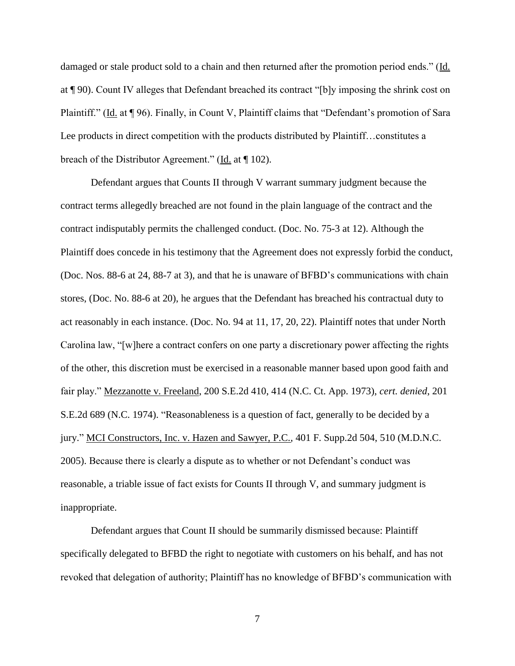damaged or stale product sold to a chain and then returned after the promotion period ends." (Id. at ¶ 90). Count IV alleges that Defendant breached its contract "[b]y imposing the shrink cost on Plaintiff." (Id. at ¶ 96). Finally, in Count V, Plaintiff claims that "Defendant's promotion of Sara Lee products in direct competition with the products distributed by Plaintiff…constitutes a breach of the Distributor Agreement." (Id. at ¶ 102).

Defendant argues that Counts II through V warrant summary judgment because the contract terms allegedly breached are not found in the plain language of the contract and the contract indisputably permits the challenged conduct. (Doc. No. 75-3 at 12). Although the Plaintiff does concede in his testimony that the Agreement does not expressly forbid the conduct, (Doc. Nos. 88-6 at 24, 88-7 at 3), and that he is unaware of BFBD's communications with chain stores, (Doc. No. 88-6 at 20), he argues that the Defendant has breached his contractual duty to act reasonably in each instance. (Doc. No. 94 at 11, 17, 20, 22). Plaintiff notes that under North Carolina law, "[w]here a contract confers on one party a discretionary power affecting the rights of the other, this discretion must be exercised in a reasonable manner based upon good faith and fair play." Mezzanotte v. Freeland, 200 S.E.2d 410, 414 (N.C. Ct. App. 1973), *cert. denied*, 201 S.E.2d 689 (N.C. 1974). "Reasonableness is a question of fact, generally to be decided by a jury." MCI Constructors, Inc. v. Hazen and Sawyer, P.C., 401 F. Supp.2d 504, 510 (M.D.N.C. 2005). Because there is clearly a dispute as to whether or not Defendant's conduct was reasonable, a triable issue of fact exists for Counts II through V, and summary judgment is inappropriate.

Defendant argues that Count II should be summarily dismissed because: Plaintiff specifically delegated to BFBD the right to negotiate with customers on his behalf, and has not revoked that delegation of authority; Plaintiff has no knowledge of BFBD's communication with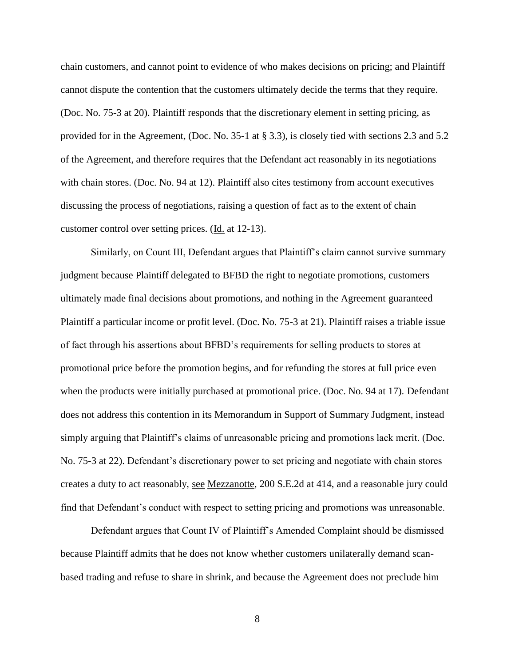chain customers, and cannot point to evidence of who makes decisions on pricing; and Plaintiff cannot dispute the contention that the customers ultimately decide the terms that they require. (Doc. No. 75-3 at 20). Plaintiff responds that the discretionary element in setting pricing, as provided for in the Agreement, (Doc. No. 35-1 at § 3.3), is closely tied with sections 2.3 and 5.2 of the Agreement, and therefore requires that the Defendant act reasonably in its negotiations with chain stores. (Doc. No. 94 at 12). Plaintiff also cites testimony from account executives discussing the process of negotiations, raising a question of fact as to the extent of chain customer control over setting prices. (Id. at 12-13).

Similarly, on Count III, Defendant argues that Plaintiff's claim cannot survive summary judgment because Plaintiff delegated to BFBD the right to negotiate promotions, customers ultimately made final decisions about promotions, and nothing in the Agreement guaranteed Plaintiff a particular income or profit level. (Doc. No. 75-3 at 21). Plaintiff raises a triable issue of fact through his assertions about BFBD's requirements for selling products to stores at promotional price before the promotion begins, and for refunding the stores at full price even when the products were initially purchased at promotional price. (Doc. No. 94 at 17). Defendant does not address this contention in its Memorandum in Support of Summary Judgment, instead simply arguing that Plaintiff's claims of unreasonable pricing and promotions lack merit. (Doc. No. 75-3 at 22). Defendant's discretionary power to set pricing and negotiate with chain stores creates a duty to act reasonably, see Mezzanotte, 200 S.E.2d at 414, and a reasonable jury could find that Defendant's conduct with respect to setting pricing and promotions was unreasonable.

Defendant argues that Count IV of Plaintiff's Amended Complaint should be dismissed because Plaintiff admits that he does not know whether customers unilaterally demand scanbased trading and refuse to share in shrink, and because the Agreement does not preclude him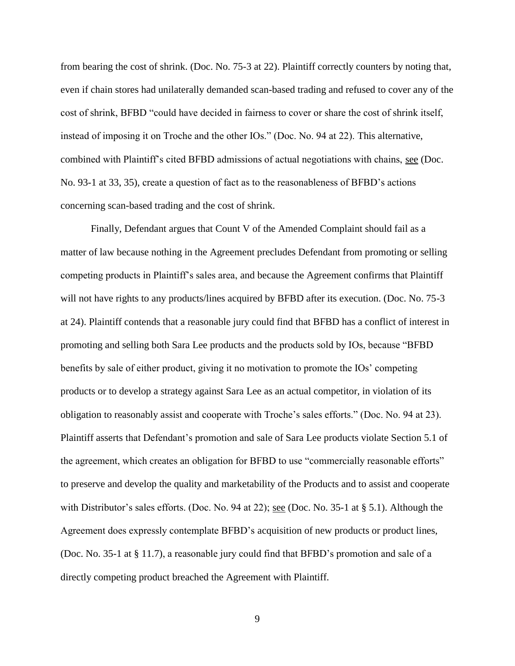from bearing the cost of shrink. (Doc. No. 75-3 at 22). Plaintiff correctly counters by noting that, even if chain stores had unilaterally demanded scan-based trading and refused to cover any of the cost of shrink, BFBD "could have decided in fairness to cover or share the cost of shrink itself, instead of imposing it on Troche and the other IOs." (Doc. No. 94 at 22). This alternative, combined with Plaintiff's cited BFBD admissions of actual negotiations with chains, see (Doc. No. 93-1 at 33, 35), create a question of fact as to the reasonableness of BFBD's actions concerning scan-based trading and the cost of shrink.

Finally, Defendant argues that Count V of the Amended Complaint should fail as a matter of law because nothing in the Agreement precludes Defendant from promoting or selling competing products in Plaintiff's sales area, and because the Agreement confirms that Plaintiff will not have rights to any products/lines acquired by BFBD after its execution. (Doc. No. 75-3) at 24). Plaintiff contends that a reasonable jury could find that BFBD has a conflict of interest in promoting and selling both Sara Lee products and the products sold by IOs, because "BFBD benefits by sale of either product, giving it no motivation to promote the IOs' competing products or to develop a strategy against Sara Lee as an actual competitor, in violation of its obligation to reasonably assist and cooperate with Troche's sales efforts." (Doc. No. 94 at 23). Plaintiff asserts that Defendant's promotion and sale of Sara Lee products violate Section 5.1 of the agreement, which creates an obligation for BFBD to use "commercially reasonable efforts" to preserve and develop the quality and marketability of the Products and to assist and cooperate with Distributor's sales efforts. (Doc. No. 94 at 22); <u>see</u> (Doc. No. 35-1 at § 5.1). Although the Agreement does expressly contemplate BFBD's acquisition of new products or product lines, (Doc. No. 35-1 at § 11.7), a reasonable jury could find that BFBD's promotion and sale of a directly competing product breached the Agreement with Plaintiff.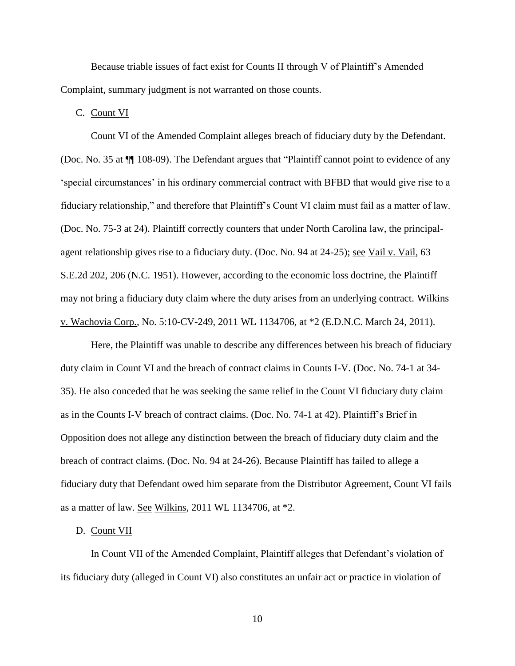Because triable issues of fact exist for Counts II through V of Plaintiff's Amended Complaint, summary judgment is not warranted on those counts.

C. Count VI

Count VI of the Amended Complaint alleges breach of fiduciary duty by the Defendant. (Doc. No. 35 at ¶¶ 108-09). The Defendant argues that "Plaintiff cannot point to evidence of any 'special circumstances' in his ordinary commercial contract with BFBD that would give rise to a fiduciary relationship," and therefore that Plaintiff's Count VI claim must fail as a matter of law. (Doc. No. 75-3 at 24). Plaintiff correctly counters that under North Carolina law, the principalagent relationship gives rise to a fiduciary duty. (Doc. No. 94 at 24-25); <u>see Vail v. Vail</u>, 63 S.E.2d 202, 206 (N.C. 1951). However, according to the economic loss doctrine, the Plaintiff may not bring a fiduciary duty claim where the duty arises from an underlying contract. Wilkins v. Wachovia Corp., No. 5:10-CV-249, 2011 WL 1134706, at \*2 (E.D.N.C. March 24, 2011).

Here, the Plaintiff was unable to describe any differences between his breach of fiduciary duty claim in Count VI and the breach of contract claims in Counts I-V. (Doc. No. 74-1 at 34- 35). He also conceded that he was seeking the same relief in the Count VI fiduciary duty claim as in the Counts I-V breach of contract claims. (Doc. No. 74-1 at 42). Plaintiff's Brief in Opposition does not allege any distinction between the breach of fiduciary duty claim and the breach of contract claims. (Doc. No. 94 at 24-26). Because Plaintiff has failed to allege a fiduciary duty that Defendant owed him separate from the Distributor Agreement, Count VI fails as a matter of law. See Wilkins, 2011 WL 1134706, at \*2.

#### D. Count VII

In Count VII of the Amended Complaint, Plaintiff alleges that Defendant's violation of its fiduciary duty (alleged in Count VI) also constitutes an unfair act or practice in violation of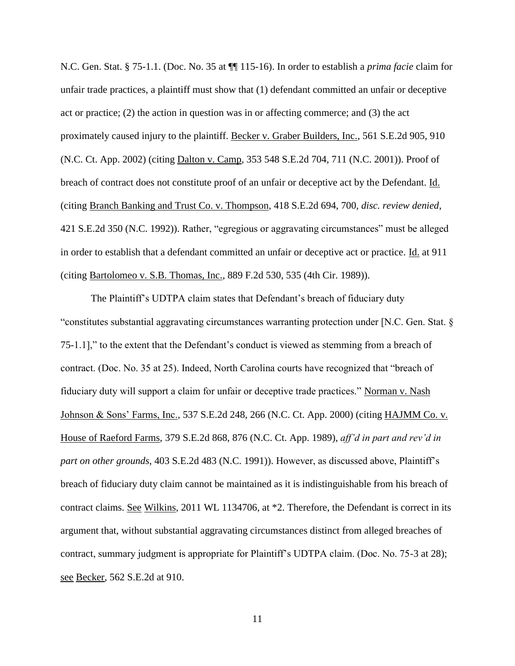N.C. Gen. Stat. § 75-1.1. (Doc. No. 35 at ¶¶ 115-16). In order to establish a *prima facie* claim for unfair trade practices, a plaintiff must show that (1) defendant committed an unfair or deceptive act or practice; (2) the action in question was in or affecting commerce; and (3) the act proximately caused injury to the plaintiff. Becker v. Graber Builders, Inc., 561 S.E.2d 905, 910 (N.C. Ct. App. 2002) (citing Dalton v. Camp, 353 548 S.E.2d 704, 711 (N.C. 2001)). Proof of breach of contract does not constitute proof of an unfair or deceptive act by the Defendant. Id. (citing Branch Banking and Trust Co. v. Thompson, 418 S.E.2d 694, 700, *disc. review denied*, 421 S.E.2d 350 (N.C. 1992)). Rather, "egregious or aggravating circumstances" must be alleged in order to establish that a defendant committed an unfair or deceptive act or practice. Id. at 911 (citing Bartolomeo v. S.B. Thomas, Inc., 889 F.2d 530, 535 (4th Cir. 1989)).

The Plaintiff's UDTPA claim states that Defendant's breach of fiduciary duty "constitutes substantial aggravating circumstances warranting protection under [N.C. Gen. Stat. § 75-1.1]," to the extent that the Defendant's conduct is viewed as stemming from a breach of contract. (Doc. No. 35 at 25). Indeed, North Carolina courts have recognized that "breach of fiduciary duty will support a claim for unfair or deceptive trade practices." Norman v. Nash Johnson & Sons' Farms, Inc., 537 S.E.2d 248, 266 (N.C. Ct. App. 2000) (citing HAJMM Co. v. House of Raeford Farms, 379 S.E.2d 868, 876 (N.C. Ct. App. 1989), *aff'd in part and rev'd in part on other grounds*, 403 S.E.2d 483 (N.C. 1991)). However, as discussed above, Plaintiff's breach of fiduciary duty claim cannot be maintained as it is indistinguishable from his breach of contract claims. See Wilkins, 2011 WL 1134706, at \*2. Therefore, the Defendant is correct in its argument that, without substantial aggravating circumstances distinct from alleged breaches of contract, summary judgment is appropriate for Plaintiff's UDTPA claim. (Doc. No. 75-3 at 28); see Becker, 562 S.E.2d at 910.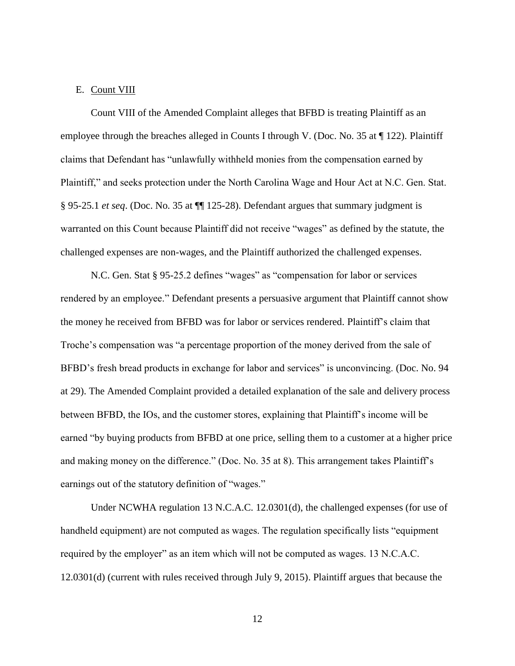## E. Count VIII

Count VIII of the Amended Complaint alleges that BFBD is treating Plaintiff as an employee through the breaches alleged in Counts I through V. (Doc. No. 35 at ¶ 122). Plaintiff claims that Defendant has "unlawfully withheld monies from the compensation earned by Plaintiff," and seeks protection under the North Carolina Wage and Hour Act at N.C. Gen. Stat. § 95-25.1 *et seq*. (Doc. No. 35 at ¶¶ 125-28). Defendant argues that summary judgment is warranted on this Count because Plaintiff did not receive "wages" as defined by the statute, the challenged expenses are non-wages, and the Plaintiff authorized the challenged expenses.

N.C. Gen. Stat § 95-25.2 defines "wages" as "compensation for labor or services rendered by an employee." Defendant presents a persuasive argument that Plaintiff cannot show the money he received from BFBD was for labor or services rendered. Plaintiff's claim that Troche's compensation was "a percentage proportion of the money derived from the sale of BFBD's fresh bread products in exchange for labor and services" is unconvincing. (Doc. No. 94 at 29). The Amended Complaint provided a detailed explanation of the sale and delivery process between BFBD, the IOs, and the customer stores, explaining that Plaintiff's income will be earned "by buying products from BFBD at one price, selling them to a customer at a higher price and making money on the difference." (Doc. No. 35 at 8). This arrangement takes Plaintiff's earnings out of the statutory definition of "wages."

Under NCWHA regulation 13 N.C.A.C. 12.0301(d), the challenged expenses (for use of handheld equipment) are not computed as wages. The regulation specifically lists "equipment required by the employer" as an item which will not be computed as wages. 13 N.C.A.C. 12.0301(d) (current with rules received through July 9, 2015). Plaintiff argues that because the